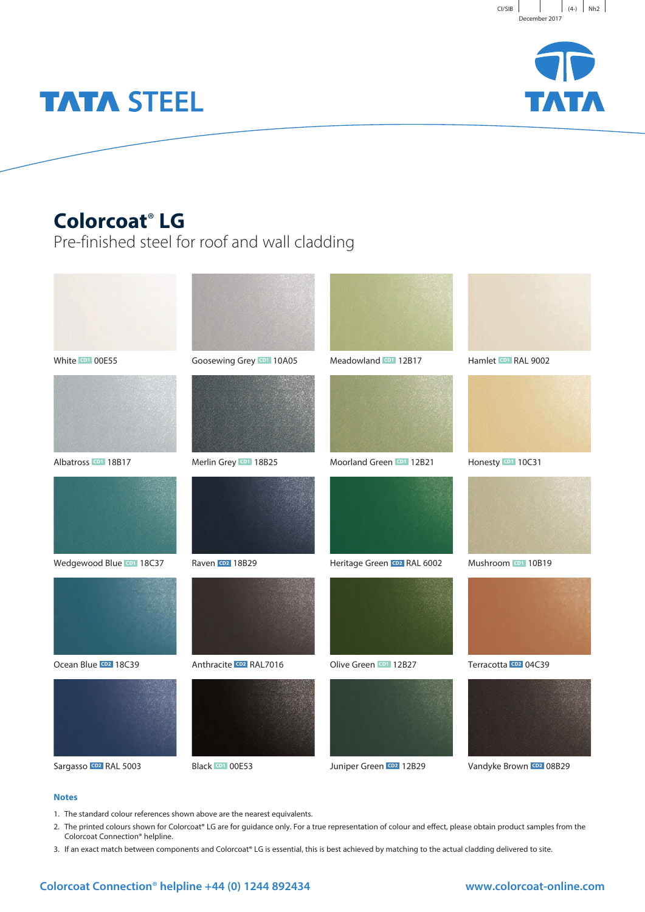



# **TATA STEEL**

## **Colorcoat**® **LG**

Pre-finished steel for roof and wall cladding



### **Notes**

- 1. The standard colour references shown above are the nearest equivalents.
- 2. The printed colours shown for Colorcoat® LG are for quidance only. For a true representation of colour and effect, please obtain product samples from the Colorcoat Connection® helpline.
- 3. If an exact match between components and Colorcoat® LG is essential, this is best achieved by matching to the actual cladding delivered to site.